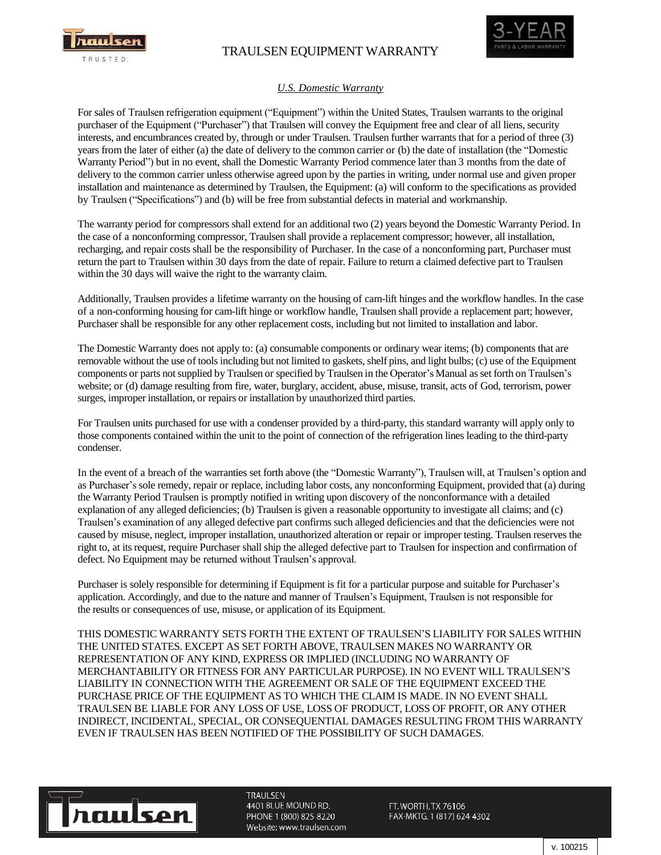

## TRAULSEN EQUIPMENT WARRANTY



## *U.S. Domestic Warranty*

For sales of Traulsen refrigeration equipment ("Equipment") within the United States, Traulsen warrants to the original purchaser of the Equipment ("Purchaser") that Traulsen will convey the Equipment free and clear of all liens, security interests, and encumbrances created by, through or under Traulsen. Traulsen further warrants that for a period of three (3) years from the later of either (a) the date of delivery to the common carrier or (b) the date of installation (the "Domestic Warranty Period") but in no event, shall the Domestic Warranty Period commence later than 3 months from the date of delivery to the common carrier unless otherwise agreed upon by the parties in writing, under normal use and given proper installation and maintenance as determined by Traulsen, the Equipment: (a) will conform to the specifications as provided by Traulsen ("Specifications") and (b) will be free from substantial defects in material and workmanship.

The warranty period for compressors shall extend for an additional two (2) years beyond the Domestic Warranty Period. In the case of a nonconforming compressor, Traulsen shall provide a replacement compressor; however, all installation, recharging, and repair costs shall be the responsibility of Purchaser. In the case of a nonconforming part, Purchaser must return the part to Traulsen within 30 days from the date of repair. Failure to return a claimed defective part to Traulsen within the 30 days will waive the right to the warranty claim.

Additionally, Traulsen provides a lifetime warranty on the housing of cam-lift hinges and the workflow handles. In the case of a non-conforming housing for cam-lift hinge or workflow handle, Traulsen shall provide a replacement part; however, Purchaser shall be responsible for any other replacement costs, including but not limited to installation and labor.

The Domestic Warranty does not apply to: (a) consumable components or ordinary wear items; (b) components that are removable without the use of toolsincluding but not limited to gaskets, shelf pins, and light bulbs; (c) use of the Equipment components or parts notsupplied by Traulsen or specified by Traulsen in the Operator's Manual asset forth on Traulsen's website; or (d) damage resulting from fire, water, burglary, accident, abuse, misuse, transit, acts of God, terrorism, power surges, improper installation, or repairs or installation by unauthorized third parties.

For Traulsen units purchased for use with a condenser provided by a third-party, this standard warranty will apply only to those components contained within the unit to the point of connection of the refrigeration lines leading to the third-party condenser.

In the event of a breach of the warranties set forth above (the "Domestic Warranty"), Traulsen will, at Traulsen's option and as Purchaser's sole remedy, repair or replace, including labor costs, any nonconforming Equipment, provided that (a) during the Warranty Period Traulsen is promptly notified in writing upon discovery of the nonconformance with a detailed explanation of any alleged deficiencies; (b) Traulsen is given a reasonable opportunity to investigate all claims; and (c) Traulsen's examination of any alleged defective part confirms such alleged deficiencies and that the deficiencies were not caused by misuse, neglect, improper installation, unauthorized alteration or repair or improper testing. Traulsen reserves the right to, at its request, require Purchaser shall ship the alleged defective part to Traulsen for inspection and confirmation of defect. No Equipment may be returned without Traulsen's approval.

Purchaser is solely responsible for determining if Equipment is fit for a particular purpose and suitable for Purchaser's application. Accordingly, and due to the nature and manner of Traulsen's Equipment, Traulsen is not responsible for the results or consequences of use, misuse, or application of its Equipment.

THIS DOMESTIC WARRANTY SETS FORTH THE EXTENT OF TRAULSEN'S LIABILITY FOR SALES WITHIN THE UNITED STATES. EXCEPT AS SET FORTH ABOVE, TRAULSEN MAKES NO WARRANTY OR REPRESENTATION OF ANY KIND, EXPRESS OR IMPLIED (INCLUDING NO WARRANTY OF MERCHANTABILITY OR FITNESS FOR ANY PARTICULAR PURPOSE). IN NO EVENT WILL TRAULSEN'S LIABILITY IN CONNECTION WITH THE AGREEMENT OR SALE OF THE EQUIPMENT EXCEED THE PURCHASE PRICE OF THE EQUIPMENT AS TO WHICH THE CLAIM IS MADE. IN NO EVENT SHALL TRAULSEN BE LIABLE FOR ANY LOSS OF USE, LOSS OF PRODUCT, LOSS OF PROFIT, OR ANY OTHER INDIRECT, INCIDENTAL, SPECIAL, OR CONSEQUENTIAL DAMAGES RESULTING FROM THIS WARRANTY EVEN IF TRAULSEN HAS BEEN NOTIFIED OF THE POSSIBILITY OF SUCH DAMAGES.



**TRAULSEN** 4401 BLUE MOUND RD. PHONE 1 (800) 825-8220 Website: www.traulsen.com

FT. WORTH, TX 76106 FAX-MKTG. 1 (817) 624-4302